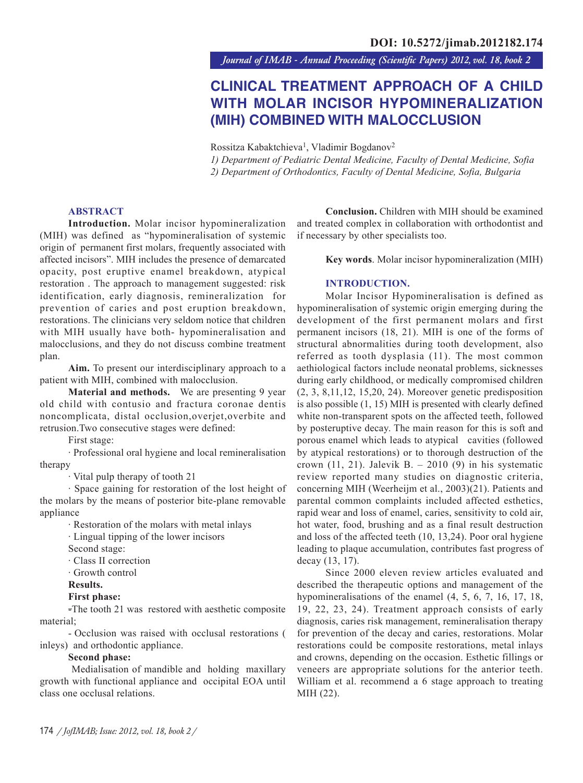*Journal of IMAB - Annual Proceeding (Scientific Papers) 2012, vol. 18, book 2*

# **CLINICAL TREATMENT APPROACH OF A CHILD WITH MOLAR INCISOR HYPOMINERALIZATION (MIH) COMBINED WITH MALOCCLUSION**

Rossitza Kabaktchieva<sup>1</sup>, Vladimir Bogdanov<sup>2</sup>

*1) Department of Pediatric Dental Medicine, Faculty of Dental Medicine, Sofia 2) Department of Orthodontics, Faculty of Dental Medicine, Sofia, Bulgaria*

### **ABSTRACT**

**Introduction.** Molar incisor hypomineralization (MIH) was defined as "hypomineralisation of systemic origin of permanent first molars, frequently associated with affected incisors". MIH includes the presence of demarcated opacity, post eruptive enamel breakdown, atypical restoration. The approach to management suggested: risk identification, early diagnosis, remineralization for prevention of caries and post eruption breakdown, restorations. The clinicians very seldom notice that children with MIH usually have both- hypomineralisation and malocclusions, and they do not discuss combine treatment plan.

**Aim.** To present our interdisciplinary approach to a patient with MIH, combined with malocclusion.

**Material and methods.** We are presenting 9 year old child with contusio and fractura coronae dentis noncomplicata, distal occlusion,overjet,overbite and retrusion.Two consecutive stages were defined:

First stage:

· Professional oral hygiene and local remineralisation therapy

· Vital pulp therapy of tooth 21

· Space gaining for restoration of the lost height of the molars by the means of posterior bite-plane removable appliance

· Restoration of the molars with metal inlays

· Lingual tipping of the lower incisors

Second stage:

· Class II correction

· Growth control

**Results.**

## **First phase:**

-The tooth 21 was restored with aesthetic composite material;

- Occlusion was raised with occlusal restorations ( inleys) and orthodontic appliance.

### **Second phase:**

 Medialisation of mandible and holding maxillary growth with functional appliance and occipital EOA until class one occlusal relations.

**Conclusion.** Children with MIH should be examined and treated complex in collaboration with orthodontist and if necessary by other specialists too.

**Key words**. Molar incisor hypomineralization (MIH)

### **INTRODUCTION.**

Molar Incisor Hypomineralisation is defined as hypomineralisation of systemic origin emerging during the development of the first permanent molars and first permanent incisors (18, 21). MIH is one of the forms of structural abnormalities during tooth development, also referred as tooth dysplasia (11). The most common aethiological factors include neonatal problems, sicknesses during early childhood, or medically compromised children (2, 3, 8,11,12, 15,20, 24). Moreover genetic predisposition is also possible (1, 15) MIH is presented with clearly defined white non-transparent spots on the affected teeth, followed by posteruptive decay. The main reason for this is soft and porous enamel which leads to atypical cavities (followed by atypical restorations) or to thorough destruction of the crown  $(11, 21)$ . Jalevik B. – 2010  $(9)$  in his systematic review reported many studies on diagnostic criteria, concerning MIH (Weerheijm et al., 2003)(21). Patients and parental common complaints included affected esthetics, rapid wear and loss of enamel, caries, sensitivity to cold air, hot water, food, brushing and as a final result destruction and loss of the affected teeth (10, 13,24). Poor oral hygiene leading to plaque accumulation, contributes fast progress of decay (13, 17).

Since 2000 eleven review articles evaluated and described the therapeutic options and management of the hypomineralisations of the enamel  $(4, 5, 6, 7, 16, 17, 18,$ 19, 22, 23, 24). Treatment approach consists of early diagnosis, caries risk management, remineralisation therapy for prevention of the decay and caries, restorations. Molar restorations could be composite restorations, metal inlays and crowns, depending on the occasion. Esthetic fillings or veneers are appropriate solutions for the anterior teeth. William et al. recommend a 6 stage approach to treating MIH (22).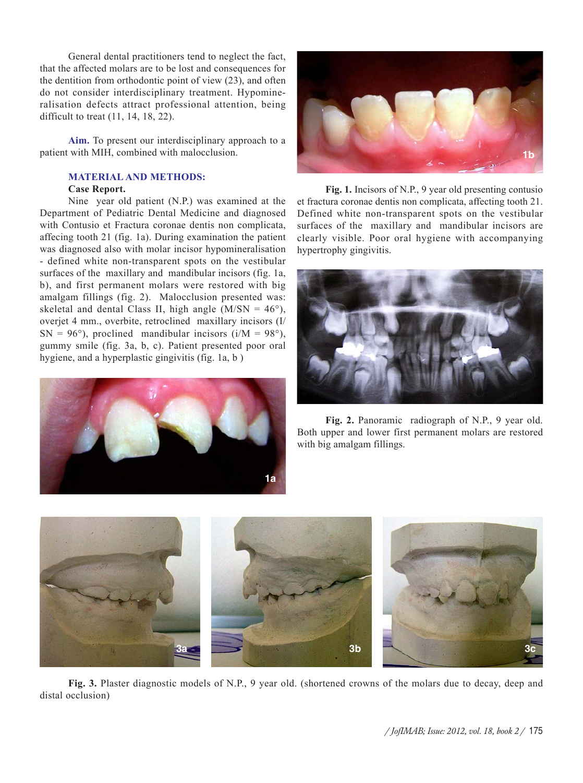General dental practitioners tend to neglect the fact, that the affected molars are to be lost and consequences for the dentition from orthodontic point of view (23), and often do not consider interdisciplinary treatment. Hypomineralisation defects attract professional attention, being difficult to treat (11, 14, 18, 22).

**Aim.** To present our interdisciplinary approach to a patient with MIH, combined with malocclusion.

# **MATERIAL AND METHODS:**

#### **Case Report.**

Nine year old patient (N.P.) was examined at the Department of Pediatric Dental Medicine and diagnosed with Contusio et Fractura coronae dentis non complicata, affecing tooth 21 (fig. 1a). During examination the patient was diagnosed also with molar incisor hypomineralisation - defined white non-transparent spots on the vestibular surfaces of the maxillary and mandibular incisors (fig. 1a, b), and first permanent molars were restored with big amalgam fillings (fig. 2). Malocclusion presented was: skeletal and dental Class II, high angle  $(M/SN = 46^{\circ})$ , overjet 4 mm., overbite, retroclined maxillary incisors (I/  $SN = 96^{\circ}$ ), proclined mandibular incisors (i/M = 98°), gummy smile (fig. 3a, b, c). Patient presented poor oral hygiene, and a hyperplastic gingivitis (fig. 1a, b )





**Fig. 1.** Incisors of N.P., 9 year old presenting contusio et fractura coronae dentis non complicata, affecting tooth 21. Defined white non-transparent spots on the vestibular surfaces of the maxillary and mandibular incisors are clearly visible. Poor oral hygiene with accompanying hypertrophy gingivitis.



**Fig. 2.** Panoramic radiograph of N.P., 9 year old. Both upper and lower first permanent molars are restored with big amalgam fillings.



**Fig. 3.** Plaster diagnostic models of N.P., 9 year old. (shortened crowns of the molars due to decay, deep and distal occlusion)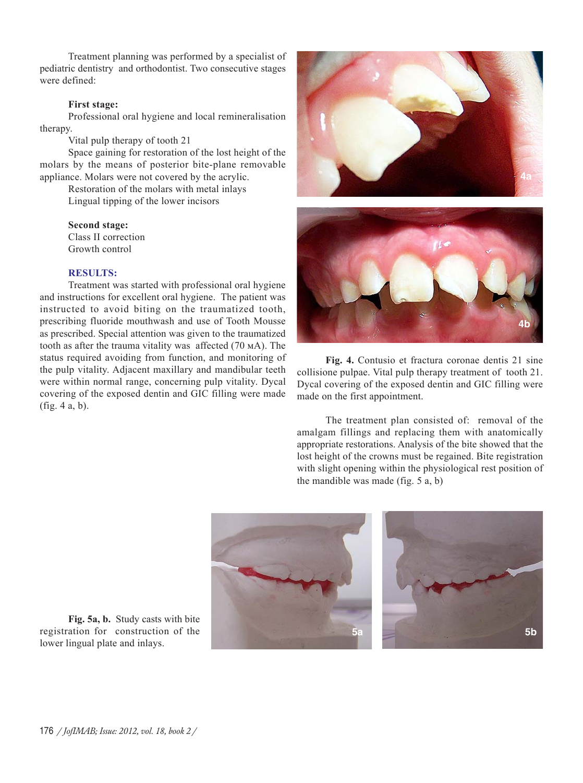Treatment planning was performed by a specialist of pediatric dentistry and orthodontist. Two consecutive stages were defined:

## **First stage:**

Professional oral hygiene and local remineralisation therapy.

Vital pulp therapy of tooth 21

Space gaining for restoration of the lost height of the molars by the means of posterior bite-plane removable appliance. Molars were not covered by the acrylic.

> Restoration of the molars with metal inlays Lingual tipping of the lower incisors

**Second stage:** Class II correction Growth control

## **RESULTS:**

Treatment was started with professional oral hygiene and instructions for excellent oral hygiene. The patient was instructed to avoid biting on the traumatized tooth, prescribing fluoride mouthwash and use of Tooth Mousse as prescribed. Special attention was given to the traumatized tooth as after the trauma vitality was affected  $(70 \text{ mA})$ . The status required avoiding from function, and monitoring of the pulp vitality. Adjacent maxillary and mandibular teeth were within normal range, concerning pulp vitality. Dycal covering of the exposed dentin and GIC filling were made (fig. 4 a, b).





**Fig. 4.** Contusio et fractura coronae dentis 21 sine collisione pulpae. Vital pulp therapy treatment of tooth 21. Dycal covering of the exposed dentin and GIC filling were made on the first appointment.

The treatment plan consisted of: removal of the amalgam fillings and replacing them with anatomically appropriate restorations. Analysis of the bite showed that the lost height of the crowns must be regained. Bite registration with slight opening within the physiological rest position of the mandible was made (fig. 5 a, b)



**Fig. 5a, b.** Study casts with bite registration for construction of the lower lingual plate and inlays.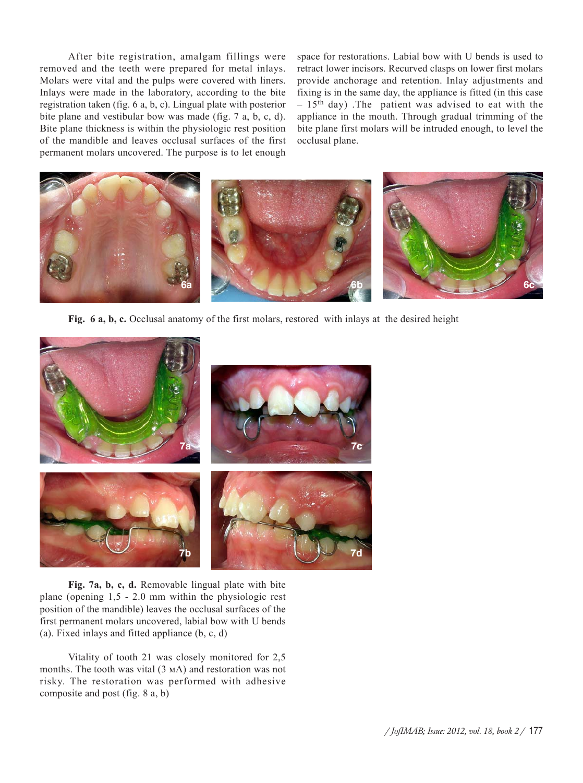After bite registration, amalgam fillings were removed and the teeth were prepared for metal inlays. Molars were vital and the pulps were covered with liners. Inlays were made in the laboratory, according to the bite registration taken (fig. 6 a, b, c). Lingual plate with posterior bite plane and vestibular bow was made (fig. 7 a, b, c, d). Bite plane thickness is within the physiologic rest position of the mandible and leaves occlusal surfaces of the first permanent molars uncovered. The purpose is to let enough space for restorations. Labial bow with U bends is used to retract lower incisors. Recurved clasps on lower first molars provide anchorage and retention. Inlay adjustments and fixing is in the same day, the appliance is fitted (in this case  $-15$ <sup>th</sup> day). The patient was advised to eat with the appliance in the mouth. Through gradual trimming of the bite plane first molars will be intruded enough, to level the occlusal plane.



**Fig. 6 a, b, c.** Occlusal anatomy of the first molars, restored with inlays at the desired height



**Fig. 7a, b, c, d.** Removable lingual plate with bite plane (opening 1,5 - 2.0 mm within the physiologic rest position of the mandible) leaves the occlusal surfaces of the first permanent molars uncovered, labial bow with U bends (a). Fixed inlays and fitted appliance (b, c, d)

Vitality of tooth 21 was closely monitored for 2,5 months. The tooth was vital  $(3 \text{ mA})$  and restoration was not risky. The restoration was performed with adhesive composite and post (fig. 8 a, b)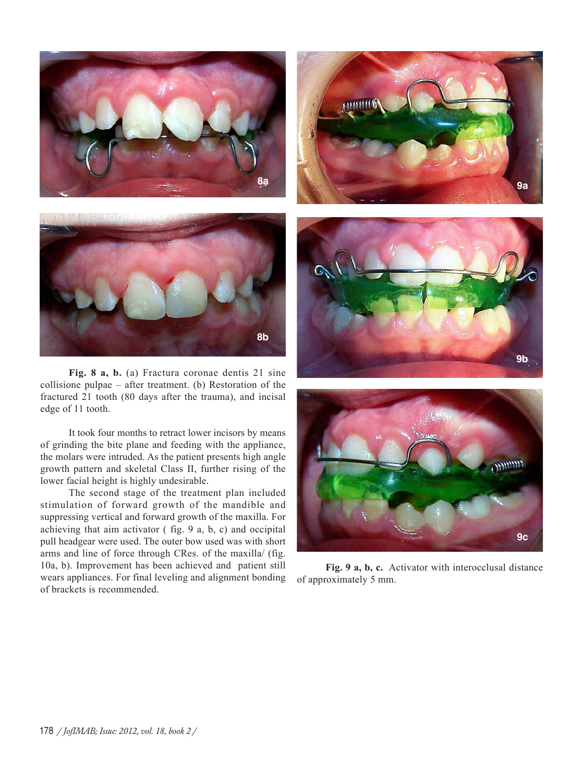



**Fig. 8 a, b.** (a) Fractura coronae dentis 21 sine collisione pulpae – after treatment. (b) Restoration of the fractured 21 tooth (80 days after the trauma), and incisal edge of 11 tooth.

It took four months to retract lower incisors by means of grinding the bite plane and feeding with the appliance, the molars were intruded. As the patient presents high angle growth pattern and skeletal Class II, further rising of the lower facial height is highly undesirable.

The second stage of the treatment plan included stimulation of forward growth of the mandible and suppressing vertical and forward growth of the maxilla. For achieving that aim activator ( fig. 9 a, b, c) and occipital pull headgear were used. The outer bow used was with short arms and line of force through CRes. of the maxilla/ (fig. 10a, b). Improvement has been achieved and patient still wears appliances. For final leveling and alignment bonding of brackets is recommended.







**Fig. 9 a, b, c.** Activator with interocclusal distance of approximately 5 mm.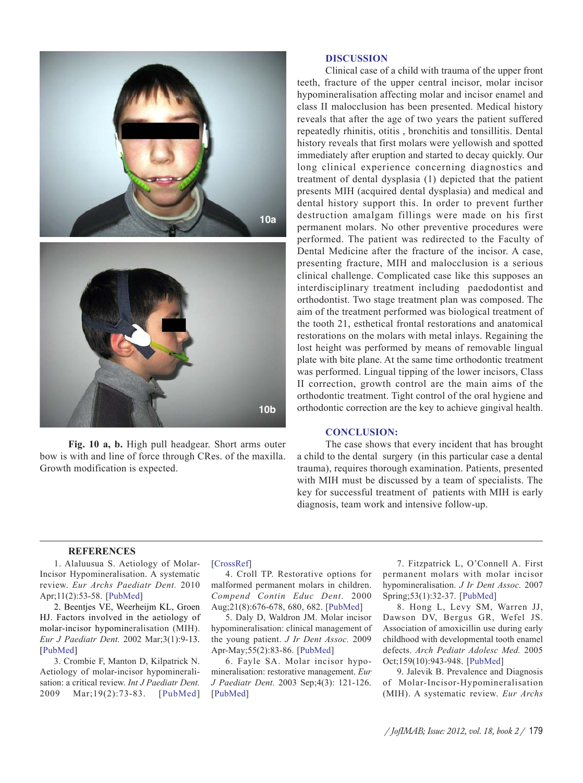

**Fig. 10 a, b.** High pull headgear. Short arms outer bow is with and line of force through CRes. of the maxilla. Growth modification is expected.

#### **DISCUSSION**

Clinical case of a child with trauma of the upper front teeth, fracture of the upper central incisor, molar incisor hypomineralisation affecting molar and incisor enamel and class II malocclusion has been presented. Medical history reveals that after the age of two years the patient suffered repeatedly rhinitis, otitis , bronchitis and tonsillitis. Dental history reveals that first molars were yellowish and spotted immediately after eruption and started to decay quickly. Our long clinical experience concerning diagnostics and treatment of dental dysplasia (1) depicted that the patient presents MIH (acquired dental dysplasia) and medical and dental history support this. In order to prevent further destruction amalgam fillings were made on his first permanent molars. No other preventive procedures were performed. The patient was redirected to the Faculty of Dental Medicine after the fracture of the incisor. A case, presenting fracture, MIH and malocclusion is a serious clinical challenge. Complicated case like this supposes an interdisciplinary treatment including paedodontist and orthodontist. Two stage treatment plan was composed. The aim of the treatment performed was biological treatment of the tooth 21, esthetical frontal restorations and anatomical restorations on the molars with metal inlays. Regaining the lost height was performed by means of removable lingual plate with bite plane. At the same time orthodontic treatment was performed. Lingual tipping of the lower incisors, Class II correction, growth control are the main aims of the orthodontic treatment. Tight control of the oral hygiene and orthodontic correction are the key to achieve gingival health.

#### **CONCLUSION:**

The case shows that every incident that has brought a child to the dental surgery (in this particular case a dental trauma), requires thorough examination. Patients, presented with MIH must be discussed by a team of specialists. The key for successful treatment of patients with MIH is early diagnosis, team work and intensive follow-up.

#### **REFERENCES**

1. Alaluusua S. Aetiology of Molar-Incisor Hypomineralisation. A systematic review. *Eur Archs Paediatr Dent.* 2010 Apr;11(2):53-58. [PubMed]

2. Beentjes VE, Weerheijm KL, Groen HJ. Factors involved in the aetiology of molar-incisor hypomineralisation (MIH). *Eur J Paediatr Dent.* 2002 Mar;3(1):9-13. [PubMed]

3. Crombie F, Manton D, Kilpatrick N. Aetiology of molar-incisor hypomineralisation: a critical review. *Int J Paediatr Dent.* 2009 Mar;19(2):73-83. [PubMed] [CrossRef]

4. Croll TP. Restorative options for malformed permanent molars in children. *Compend Contin Educ Dent.* 2000 Aug;21(8):676-678, 680, 682. [PubMed]

5. Daly D, Waldron JM. Molar incisor hypomineralisation: clinical management of the young patient. *J Ir Dent Assoc.* 2009 Apr-May;55(2):83-86. [PubMed]

6. Fayle SA. Molar incisor hypomineralisation: restorative management. *Eur J Paediatr Dent.* 2003 Sep;4(3): 121-126. [PubMed]

7. Fitzpatrick L, O'Connell A. First permanent molars with molar incisor hypomineralisation. *J Ir Dent Assoc.* 2007 Spring;53(1):32-37. [PubMed]

8. Hong L, Levy SM, Warren JJ, Dawson DV, Bergus GR, Wefel JS. Association of amoxicillin use during early childhood with developmental tooth enamel defects. *Arch Pediatr Adolesc Med.* 2005 Oct;159(10):943-948. [PubMed]

9. Jalevik B. Prevalence and Diagnosis of Molar-Incisor-Hypomineralisation (MIH). A systematic review. *Eur Archs*